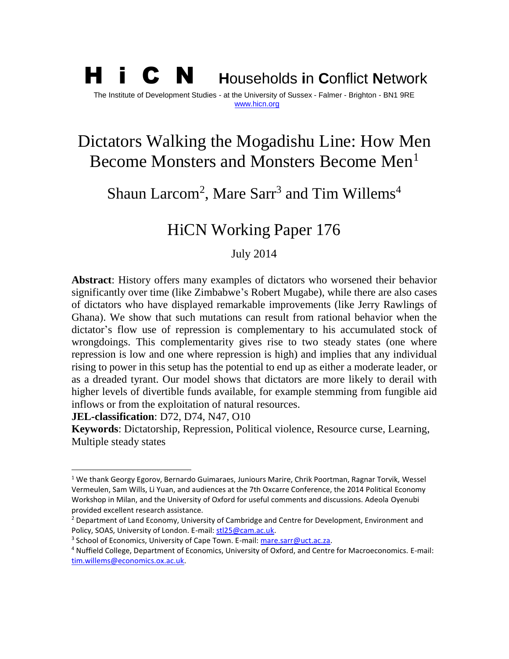### H i C N **<sup>H</sup>**ouseholds **i**n **C**onflict **<sup>N</sup>**etwork The Institute of Development Studies - at the University of Sussex - Falmer - Brighton - BN1 9RE [www.hicn.org](http://www.hicn.org/)

# Dictators Walking the Mogadishu Line: How Men Become Monsters and Monsters Become Men<sup>1</sup>

Shaun Larcom<sup>2</sup>, Mare Sarr<sup>3</sup> and Tim Willems<sup>4</sup>

## HiCN Working Paper 176

July 2014

**Abstract**: History offers many examples of dictators who worsened their behavior significantly over time (like Zimbabwe's Robert Mugabe), while there are also cases of dictators who have displayed remarkable improvements (like Jerry Rawlings of Ghana). We show that such mutations can result from rational behavior when the dictator's flow use of repression is complementary to his accumulated stock of wrongdoings. This complementarity gives rise to two steady states (one where repression is low and one where repression is high) and implies that any individual rising to power in this setup has the potential to end up as either a moderate leader, or as a dreaded tyrant. Our model shows that dictators are more likely to derail with higher levels of divertible funds available, for example stemming from fungible aid inflows or from the exploitation of natural resources.

**JEL-classification**: D72, D74, N47, O10

 $\overline{a}$ 

**Keywords**: Dictatorship, Repression, Political violence, Resource curse, Learning, Multiple steady states

<sup>&</sup>lt;sup>1</sup> We thank Georgy Egorov, Bernardo Guimaraes, Juniours Marire, Chrik Poortman, Ragnar Torvik, Wessel Vermeulen, Sam Wills, Li Yuan, and audiences at the 7th Oxcarre Conference, the 2014 Political Economy Workshop in Milan, and the University of Oxford for useful comments and discussions. Adeola Oyenubi provided excellent research assistance.

<sup>&</sup>lt;sup>2</sup> Department of Land Economy, University of Cambridge and Centre for Development, Environment and Policy, SOAS, University of London. E-mail[: stl25@cam.ac.uk.](mailto:stl25@cam.ac.uk)

<sup>&</sup>lt;sup>3</sup> School of Economics, University of Cape Town. E-mail[: mare.sarr@uct.ac.za.](mailto:mare.sarr@uct.ac.za)

<sup>4</sup> Nuffield College, Department of Economics, University of Oxford, and Centre for Macroeconomics. E-mail: [tim.willems@economics.ox.ac.uk.](mailto:tim.willems@economics.ox.ac.uk)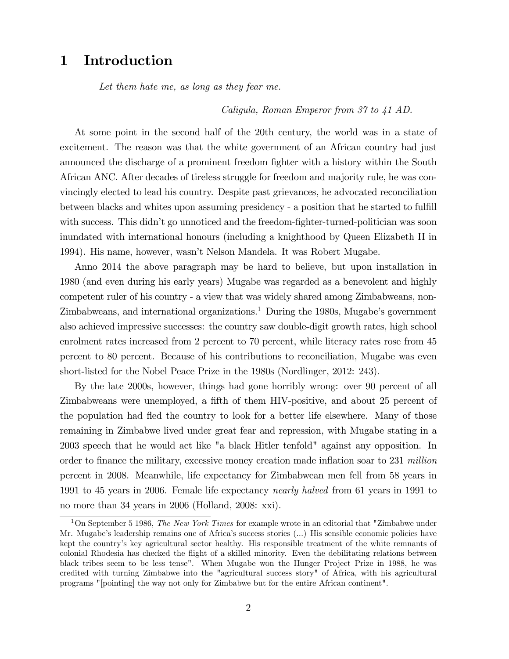### 1 Introduction

Let them hate me, as long as they fear me.

Caligula, Roman Emperor from 37 to 41 AD.

At some point in the second half of the 20th century, the world was in a state of excitement. The reason was that the white government of an African country had just announced the discharge of a prominent freedom fighter with a history within the South African ANC. After decades of tireless struggle for freedom and majority rule, he was convincingly elected to lead his country. Despite past grievances, he advocated reconciliation between blacks and whites upon assuming presidency - a position that he started to fulfill with success. This didn't go unnoticed and the freedom-fighter-turned-politician was soon inundated with international honours (including a knighthood by Queen Elizabeth II in 1994). His name, however, wasnít Nelson Mandela. It was Robert Mugabe.

Anno 2014 the above paragraph may be hard to believe, but upon installation in 1980 (and even during his early years) Mugabe was regarded as a benevolent and highly competent ruler of his country - a view that was widely shared among Zimbabweans, non- $Z$ imbabweans, and international organizations.<sup>1</sup> During the 1980s, Mugabe's government also achieved impressive successes: the country saw double-digit growth rates, high school enrolment rates increased from 2 percent to 70 percent, while literacy rates rose from 45 percent to 80 percent. Because of his contributions to reconciliation, Mugabe was even short-listed for the Nobel Peace Prize in the 1980s (Nordlinger, 2012: 243).

By the late 2000s, however, things had gone horribly wrong: over 90 percent of all Zimbabweans were unemployed, a fifth of them HIV-positive, and about 25 percent of the population had fled the country to look for a better life elsewhere. Many of those remaining in Zimbabwe lived under great fear and repression, with Mugabe stating in a 2003 speech that he would act like "a black Hitler tenfold" against any opposition. In order to finance the military, excessive money creation made inflation soar to 231 million percent in 2008. Meanwhile, life expectancy for Zimbabwean men fell from 58 years in 1991 to 45 years in 2006. Female life expectancy nearly halved from 61 years in 1991 to no more than 34 years in 2006 (Holland, 2008: xxi).

<sup>&</sup>lt;sup>1</sup>On September 5 1986, *The New York Times* for example wrote in an editorial that "Zimbabwe under Mr. Mugabe's leadership remains one of Africa's success stories (...) His sensible economic policies have kept the countryís key agricultural sector healthy. His responsible treatment of the white remnants of colonial Rhodesia has checked the áight of a skilled minority. Even the debilitating relations between black tribes seem to be less tense". When Mugabe won the Hunger Project Prize in 1988, he was credited with turning Zimbabwe into the "agricultural success story" of Africa, with his agricultural programs "[pointing] the way not only for Zimbabwe but for the entire African continent".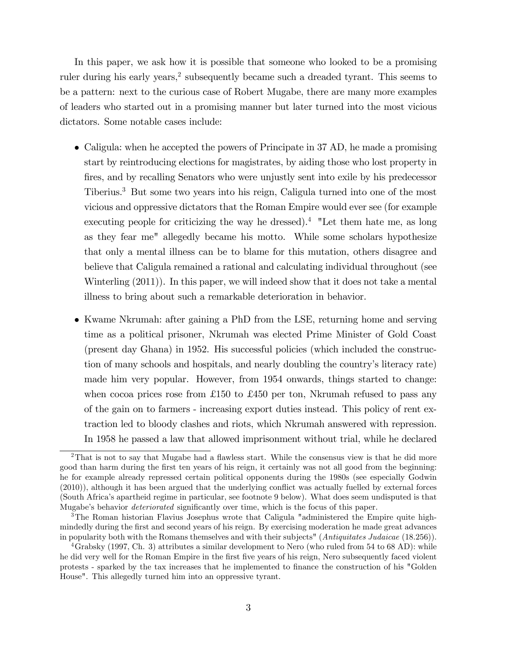In this paper, we ask how it is possible that someone who looked to be a promising ruler during his early years,<sup>2</sup> subsequently became such a dreaded tyrant. This seems to be a pattern: next to the curious case of Robert Mugabe, there are many more examples of leaders who started out in a promising manner but later turned into the most vicious dictators. Some notable cases include:

- Caligula: when he accepted the powers of Principate in 37 AD, he made a promising start by reintroducing elections for magistrates, by aiding those who lost property in fires, and by recalling Senators who were unjustly sent into exile by his predecessor Tiberius.<sup>3</sup> But some two years into his reign, Caligula turned into one of the most vicious and oppressive dictators that the Roman Empire would ever see (for example executing people for criticizing the way he dressed).<sup>4</sup> "Let them hate me, as long as they fear me" allegedly became his motto. While some scholars hypothesize that only a mental illness can be to blame for this mutation, others disagree and believe that Caligula remained a rational and calculating individual throughout (see Winterling (2011)). In this paper, we will indeed show that it does not take a mental illness to bring about such a remarkable deterioration in behavior.
- Kwame Nkrumah: after gaining a PhD from the LSE, returning home and serving time as a political prisoner, Nkrumah was elected Prime Minister of Gold Coast (present day Ghana) in 1952. His successful policies (which included the construction of many schools and hospitals, and nearly doubling the country's literacy rate) made him very popular. However, from 1954 onwards, things started to change: when cocoa prices rose from £150 to £450 per ton, Nkrumah refused to pass any of the gain on to farmers - increasing export duties instead. This policy of rent extraction led to bloody clashes and riots, which Nkrumah answered with repression. In 1958 he passed a law that allowed imprisonment without trial, while he declared

<sup>&</sup>lt;sup>2</sup>That is not to say that Mugabe had a flawless start. While the consensus view is that he did more good than harm during the first ten years of his reign, it certainly was not all good from the beginning: he for example already repressed certain political opponents during the 1980s (see especially Godwin  $(2010)$ ), although it has been argued that the underlying conflict was actually fuelled by external forces (South Africaís apartheid regime in particular, see footnote 9 below). What does seem undisputed is that Mugabe's behavior *deteriorated* significantly over time, which is the focus of this paper.

<sup>&</sup>lt;sup>3</sup>The Roman historian Flavius Josephus wrote that Caligula "administered the Empire quite highmindedly during the first and second years of his reign. By exercising moderation he made great advances in popularity both with the Romans themselves and with their subjects" (Antiquitates Judaicae (18.256)).

<sup>4</sup>Grabsky (1997, Ch. 3) attributes a similar development to Nero (who ruled from 54 to 68 AD): while he did very well for the Roman Empire in the first five years of his reign, Nero subsequently faced violent protests - sparked by the tax increases that he implemented to Önance the construction of his "Golden House". This allegedly turned him into an oppressive tyrant.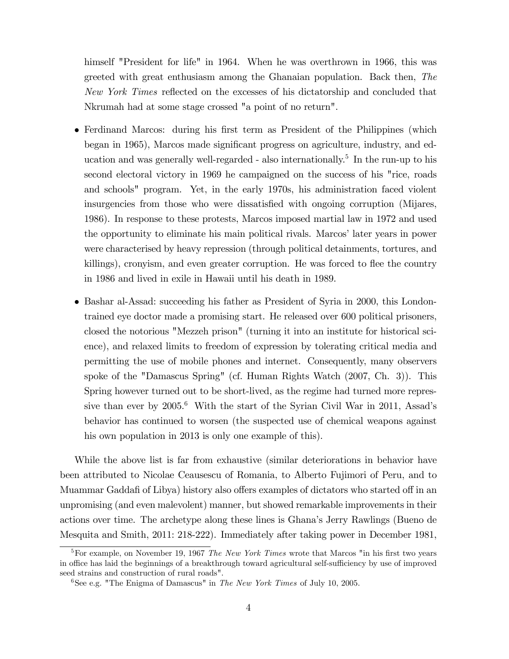himself "President for life" in 1964. When he was overthrown in 1966, this was greeted with great enthusiasm among the Ghanaian population. Back then, The New York Times reflected on the excesses of his dictatorship and concluded that Nkrumah had at some stage crossed "a point of no return".

- Ferdinand Marcos: during his first term as President of the Philippines (which began in 1965), Marcos made significant progress on agriculture, industry, and education and was generally well-regarded - also internationally.<sup>5</sup> In the run-up to his second electoral victory in 1969 he campaigned on the success of his "rice, roads and schools" program. Yet, in the early 1970s, his administration faced violent insurgencies from those who were dissatisfied with ongoing corruption (Mijares, 1986). In response to these protests, Marcos imposed martial law in 1972 and used the opportunity to eliminate his main political rivals. Marcos' later years in power were characterised by heavy repression (through political detainments, tortures, and killings), cronyism, and even greater corruption. He was forced to flee the country in 1986 and lived in exile in Hawaii until his death in 1989.
- Bashar al-Assad: succeeding his father as President of Syria in 2000, this Londontrained eye doctor made a promising start. He released over 600 political prisoners, closed the notorious "Mezzeh prison" (turning it into an institute for historical science), and relaxed limits to freedom of expression by tolerating critical media and permitting the use of mobile phones and internet. Consequently, many observers spoke of the "Damascus Spring" (cf. Human Rights Watch (2007, Ch. 3)). This Spring however turned out to be short-lived, as the regime had turned more repressive than ever by  $2005<sup>6</sup>$  With the start of the Syrian Civil War in 2011, Assad's behavior has continued to worsen (the suspected use of chemical weapons against his own population in 2013 is only one example of this).

While the above list is far from exhaustive (similar deteriorations in behavior have been attributed to Nicolae Ceausescu of Romania, to Alberto Fujimori of Peru, and to Muammar Gaddafi of Libya) history also offers examples of dictators who started off in an unpromising (and even malevolent) manner, but showed remarkable improvements in their actions over time. The archetype along these lines is Ghanaís Jerry Rawlings (Bueno de Mesquita and Smith, 2011: 218-222). Immediately after taking power in December 1981,

<sup>&</sup>lt;sup>5</sup>For example, on November 19, 1967 The New York Times wrote that Marcos "in his first two years in office has laid the beginnings of a breakthrough toward agricultural self-sufficiency by use of improved seed strains and construction of rural roads".

 $6$ See e.g. "The Enigma of Damascus" in The New York Times of July 10, 2005.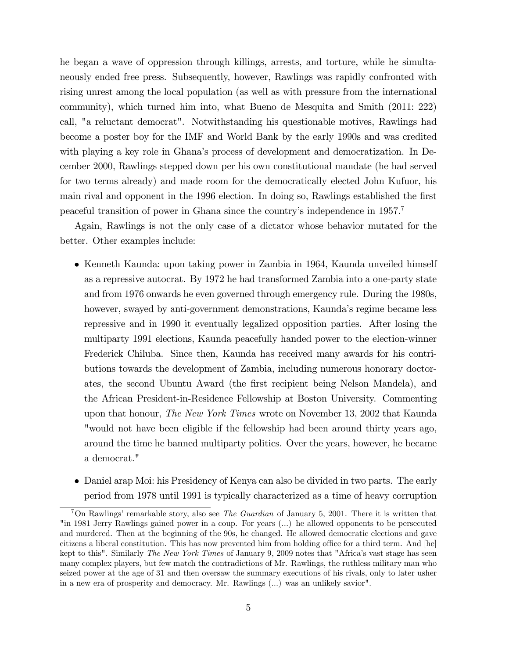he began a wave of oppression through killings, arrests, and torture, while he simultaneously ended free press. Subsequently, however, Rawlings was rapidly confronted with rising unrest among the local population (as well as with pressure from the international community), which turned him into, what Bueno de Mesquita and Smith (2011: 222) call, "a reluctant democrat". Notwithstanding his questionable motives, Rawlings had become a poster boy for the IMF and World Bank by the early 1990s and was credited with playing a key role in Ghana's process of development and democratization. In December 2000, Rawlings stepped down per his own constitutional mandate (he had served for two terms already) and made room for the democratically elected John Kufuor, his main rival and opponent in the 1996 election. In doing so, Rawlings established the first peaceful transition of power in Ghana since the country's independence in 1957.<sup>7</sup>

Again, Rawlings is not the only case of a dictator whose behavior mutated for the better. Other examples include:

- Kenneth Kaunda: upon taking power in Zambia in 1964, Kaunda unveiled himself as a repressive autocrat. By 1972 he had transformed Zambia into a one-party state and from 1976 onwards he even governed through emergency rule. During the 1980s, however, swayed by anti-government demonstrations, Kaunda's regime became less repressive and in 1990 it eventually legalized opposition parties. After losing the multiparty 1991 elections, Kaunda peacefully handed power to the election-winner Frederick Chiluba. Since then, Kaunda has received many awards for his contributions towards the development of Zambia, including numerous honorary doctorates, the second Ubuntu Award (the Örst recipient being Nelson Mandela), and the African President-in-Residence Fellowship at Boston University. Commenting upon that honour, *The New York Times* wrote on November 13, 2002 that Kaunda "would not have been eligible if the fellowship had been around thirty years ago, around the time he banned multiparty politics. Over the years, however, he became a democrat."
- Daniel arap Moi: his Presidency of Kenya can also be divided in two parts. The early period from 1978 until 1991 is typically characterized as a time of heavy corruption

<sup>&</sup>lt;sup>7</sup>On Rawlings' remarkable story, also see *The Guardian* of January 5, 2001. There it is written that "in 1981 Jerry Rawlings gained power in a coup. For years (...) he allowed opponents to be persecuted and murdered. Then at the beginning of the 90s, he changed. He allowed democratic elections and gave citizens a liberal constitution. This has now prevented him from holding office for a third term. And [he] kept to this". Similarly The New York Times of January 9, 2009 notes that "Africa's vast stage has seen many complex players, but few match the contradictions of Mr. Rawlings, the ruthless military man who seized power at the age of 31 and then oversaw the summary executions of his rivals, only to later usher in a new era of prosperity and democracy. Mr. Rawlings (...) was an unlikely savior".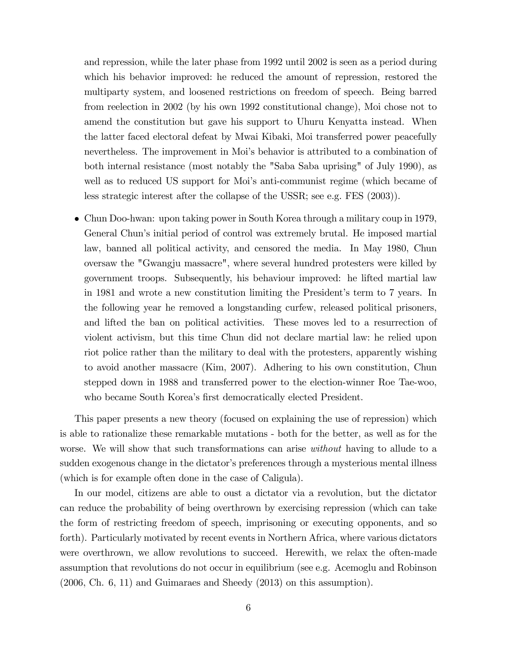and repression, while the later phase from 1992 until 2002 is seen as a period during which his behavior improved: he reduced the amount of repression, restored the multiparty system, and loosened restrictions on freedom of speech. Being barred from reelection in 2002 (by his own 1992 constitutional change), Moi chose not to amend the constitution but gave his support to Uhuru Kenyatta instead. When the latter faced electoral defeat by Mwai Kibaki, Moi transferred power peacefully nevertheless. The improvement in Moiís behavior is attributed to a combination of both internal resistance (most notably the "Saba Saba uprising" of July 1990), as well as to reduced US support for Moi's anti-communist regime (which became of less strategic interest after the collapse of the USSR; see e.g. FES (2003)).

 Chun Doo-hwan: upon taking power in South Korea through a military coup in 1979, General Chun's initial period of control was extremely brutal. He imposed martial law, banned all political activity, and censored the media. In May 1980, Chun oversaw the "Gwangju massacre", where several hundred protesters were killed by government troops. Subsequently, his behaviour improved: he lifted martial law in 1981 and wrote a new constitution limiting the President's term to 7 years. In the following year he removed a longstanding curfew, released political prisoners, and lifted the ban on political activities. These moves led to a resurrection of violent activism, but this time Chun did not declare martial law: he relied upon riot police rather than the military to deal with the protesters, apparently wishing to avoid another massacre (Kim, 2007). Adhering to his own constitution, Chun stepped down in 1988 and transferred power to the election-winner Roe Tae-woo, who became South Korea's first democratically elected President.

This paper presents a new theory (focused on explaining the use of repression) which is able to rationalize these remarkable mutations - both for the better, as well as for the worse. We will show that such transformations can arise *without* having to allude to a sudden exogenous change in the dictator's preferences through a mysterious mental illness (which is for example often done in the case of Caligula).

In our model, citizens are able to oust a dictator via a revolution, but the dictator can reduce the probability of being overthrown by exercising repression (which can take the form of restricting freedom of speech, imprisoning or executing opponents, and so forth). Particularly motivated by recent events in Northern Africa, where various dictators were overthrown, we allow revolutions to succeed. Herewith, we relax the often-made assumption that revolutions do not occur in equilibrium (see e.g. Acemoglu and Robinson (2006, Ch. 6, 11) and Guimaraes and Sheedy (2013) on this assumption).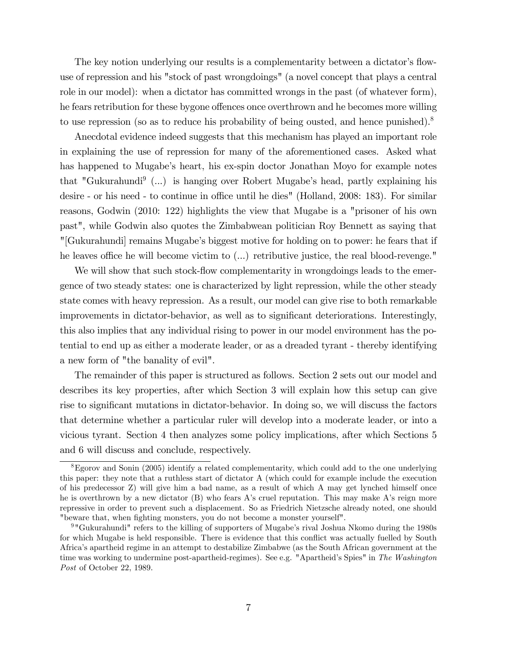The key notion underlying our results is a complementarity between a dictator's flowuse of repression and his "stock of past wrongdoings" (a novel concept that plays a central role in our model): when a dictator has committed wrongs in the past (of whatever form), he fears retribution for these bygone offences once overthrown and he becomes more willing to use repression (so as to reduce his probability of being ousted, and hence punished).<sup>8</sup>

Anecdotal evidence indeed suggests that this mechanism has played an important role in explaining the use of repression for many of the aforementioned cases. Asked what has happened to Mugabe's heart, his ex-spin doctor Jonathan Moyo for example notes that "Gukurahundi<sup>9</sup> (...) is hanging over Robert Mugabe's head, partly explaining his desire - or his need - to continue in office until he dies" (Holland, 2008: 183). For similar reasons, Godwin (2010: 122) highlights the view that Mugabe is a "prisoner of his own past", while Godwin also quotes the Zimbabwean politician Roy Bennett as saying that "[Gukurahundi] remains Mugabeís biggest motive for holding on to power: he fears that if he leaves office he will become victim to  $(...)$  retributive justice, the real blood-revenge."

We will show that such stock-flow complementarity in wrongdoings leads to the emergence of two steady states: one is characterized by light repression, while the other steady state comes with heavy repression. As a result, our model can give rise to both remarkable improvements in dictator-behavior, as well as to significant deteriorations. Interestingly, this also implies that any individual rising to power in our model environment has the potential to end up as either a moderate leader, or as a dreaded tyrant - thereby identifying a new form of "the banality of evil".

The remainder of this paper is structured as follows. Section 2 sets out our model and describes its key properties, after which Section 3 will explain how this setup can give rise to significant mutations in dictator-behavior. In doing so, we will discuss the factors that determine whether a particular ruler will develop into a moderate leader, or into a vicious tyrant. Section 4 then analyzes some policy implications, after which Sections 5 and 6 will discuss and conclude, respectively.

<sup>8</sup>Egorov and Sonin (2005) identify a related complementarity, which could add to the one underlying this paper: they note that a ruthless start of dictator A (which could for example include the execution of his predecessor Z) will give him a bad name, as a result of which A may get lynched himself once he is overthrown by a new dictator (B) who fears A's cruel reputation. This may make A's reign more repressive in order to prevent such a displacement. So as Friedrich Nietzsche already noted, one should "beware that, when fighting monsters, you do not become a monster yourself".

<sup>&</sup>lt;sup>9</sup> "Gukurahundi" refers to the killing of supporters of Mugabe's rival Joshua Nkomo during the 1980s for which Mugabe is held responsible. There is evidence that this conflict was actually fuelled by South Africaís apartheid regime in an attempt to destabilize Zimbabwe (as the South African government at the time was working to undermine post-apartheid-regimes). See e.g. "Apartheid's Spies" in The Washington Post of October 22, 1989.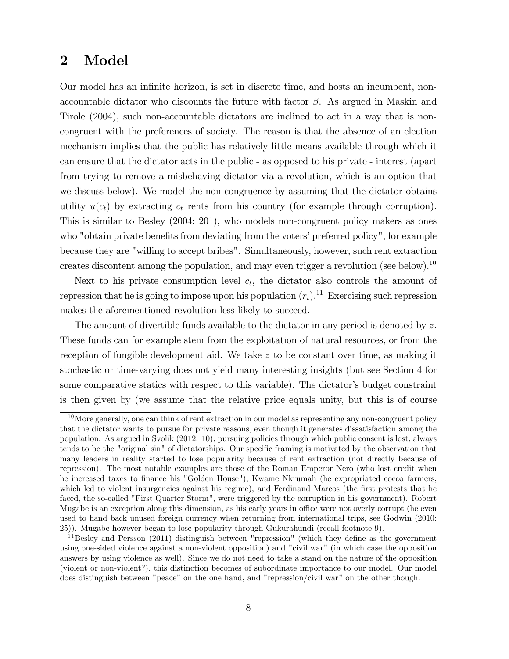#### 2 Model

Our model has an infinite horizon, is set in discrete time, and hosts an incumbent, nonaccountable dictator who discounts the future with factor  $\beta$ . As argued in Maskin and Tirole (2004), such non-accountable dictators are inclined to act in a way that is noncongruent with the preferences of society. The reason is that the absence of an election mechanism implies that the public has relatively little means available through which it can ensure that the dictator acts in the public - as opposed to his private - interest (apart from trying to remove a misbehaving dictator via a revolution, which is an option that we discuss below). We model the non-congruence by assuming that the dictator obtains utility  $u(c_t)$  by extracting  $c_t$  rents from his country (for example through corruption). This is similar to Besley (2004: 201), who models non-congruent policy makers as ones who "obtain private benefits from deviating from the voters' preferred policy", for example because they are "willing to accept bribes". Simultaneously, however, such rent extraction creates discontent among the population, and may even trigger a revolution (see below).<sup>10</sup>

Next to his private consumption level  $c_t$ , the dictator also controls the amount of repression that he is going to impose upon his population  $(r_t)$ .<sup>11</sup> Exercising such repression makes the aforementioned revolution less likely to succeed.

The amount of divertible funds available to the dictator in any period is denoted by z. These funds can for example stem from the exploitation of natural resources, or from the reception of fungible development aid. We take z to be constant over time, as making it stochastic or time-varying does not yield many interesting insights (but see Section 4 for some comparative statics with respect to this variable). The dictator's budget constraint is then given by (we assume that the relative price equals unity, but this is of course

 $10$ More generally, one can think of rent extraction in our model as representing any non-congruent policy that the dictator wants to pursue for private reasons, even though it generates dissatisfaction among the population. As argued in Svolik (2012: 10), pursuing policies through which public consent is lost, always tends to be the "original sin" of dictatorships. Our specific framing is motivated by the observation that many leaders in reality started to lose popularity because of rent extraction (not directly because of repression). The most notable examples are those of the Roman Emperor Nero (who lost credit when he increased taxes to finance his "Golden House"), Kwame Nkrumah (he expropriated cocoa farmers, which led to violent insurgencies against his regime), and Ferdinand Marcos (the first protests that he faced, the so-called "First Quarter Storm", were triggered by the corruption in his government). Robert Mugabe is an exception along this dimension, as his early years in office were not overly corrupt (he even used to hand back unused foreign currency when returning from international trips, see Godwin (2010: 25)). Mugabe however began to lose popularity through Gukurahundi (recall footnote 9).

 $11$ Besley and Persson (2011) distinguish between "repression" (which they define as the government using one-sided violence against a non-violent opposition) and "civil war" (in which case the opposition answers by using violence as well). Since we do not need to take a stand on the nature of the opposition (violent or non-violent?), this distinction becomes of subordinate importance to our model. Our model does distinguish between "peace" on the one hand, and "repression/civil war" on the other though.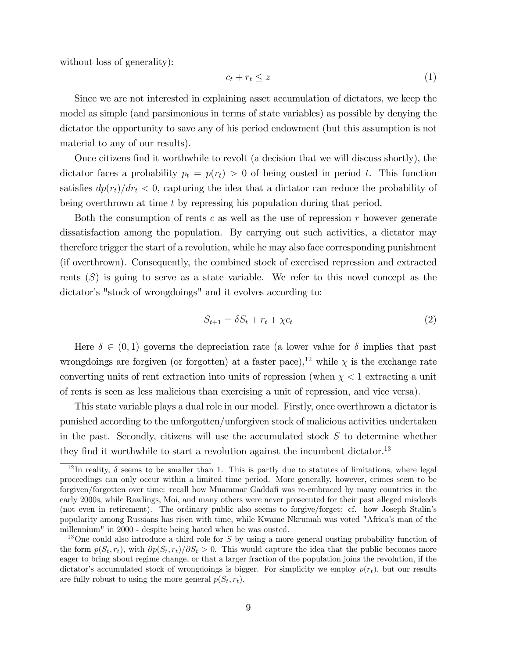without loss of generality):

$$
c_t + r_t \le z \tag{1}
$$

Since we are not interested in explaining asset accumulation of dictators, we keep the model as simple (and parsimonious in terms of state variables) as possible by denying the dictator the opportunity to save any of his period endowment (but this assumption is not material to any of our results).

Once citizens find it worthwhile to revolt (a decision that we will discuss shortly), the dictator faces a probability  $p_t = p(r_t) > 0$  of being ousted in period t. This function satisfies  $dp(r_t)/dr_t < 0$ , capturing the idea that a dictator can reduce the probability of being overthrown at time t by repressing his population during that period.

Both the consumption of rents c as well as the use of repression r however generate dissatisfaction among the population. By carrying out such activities, a dictator may therefore trigger the start of a revolution, while he may also face corresponding punishment (if overthrown). Consequently, the combined stock of exercised repression and extracted rents  $(S)$  is going to serve as a state variable. We refer to this novel concept as the dictator's "stock of wrongdoings" and it evolves according to:

$$
S_{t+1} = \delta S_t + r_t + \chi c_t \tag{2}
$$

Here  $\delta \in (0,1)$  governs the depreciation rate (a lower value for  $\delta$  implies that past wrongdoings are forgiven (or forgotten) at a faster pace),<sup>12</sup> while  $\chi$  is the exchange rate converting units of rent extraction into units of repression (when  $\chi < 1$  extracting a unit of rents is seen as less malicious than exercising a unit of repression, and vice versa).

This state variable plays a dual role in our model. Firstly, once overthrown a dictator is punished according to the unforgotten/unforgiven stock of malicious activities undertaken in the past. Secondly, citizens will use the accumulated stock  $S$  to determine whether they find it worthwhile to start a revolution against the incumbent dictator.<sup>13</sup>

<sup>&</sup>lt;sup>12</sup>In reality,  $\delta$  seems to be smaller than 1. This is partly due to statutes of limitations, where legal proceedings can only occur within a limited time period. More generally, however, crimes seem to be forgiven/forgotten over time: recall how Muammar Gaddafi was re-embraced by many countries in the early 2000s, while Rawlings, Moi, and many others were never prosecuted for their past alleged misdeeds (not even in retirement). The ordinary public also seems to forgive/forget: cf. how Joseph Stalinís popularity among Russians has risen with time, while Kwame Nkrumah was voted "Africaís man of the millennium" in 2000 - despite being hated when he was ousted.

<sup>&</sup>lt;sup>13</sup>One could also introduce a third role for S by using a more general ousting probability function of the form  $p(S_t, r_t)$ , with  $\partial p(S_t, r_t)/\partial S_t > 0$ . This would capture the idea that the public becomes more eager to bring about regime change, or that a larger fraction of the population joins the revolution, if the dictator's accumulated stock of wrongdoings is bigger. For simplicity we employ  $p(r_t)$ , but our results are fully robust to using the more general  $p(S_t, r_t)$ .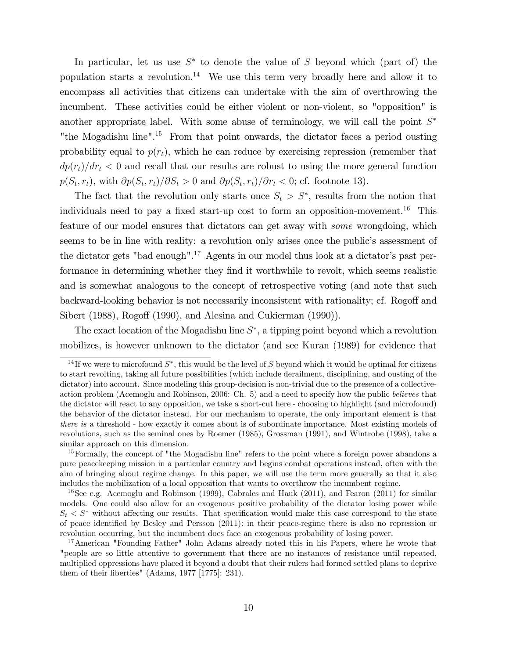In particular, let us use  $S^*$  to denote the value of S beyond which (part of) the population starts a revolution.<sup>14</sup> We use this term very broadly here and allow it to encompass all activities that citizens can undertake with the aim of overthrowing the incumbent. These activities could be either violent or non-violent, so "opposition" is another appropriate label. With some abuse of terminology, we will call the point  $S^*$ "the Mogadishu line".<sup>15</sup> From that point onwards, the dictator faces a period ousting probability equal to  $p(r_t)$ , which he can reduce by exercising repression (remember that  $dp(r_t)/dr_t < 0$  and recall that our results are robust to using the more general function  $p(S_t, r_t)$ , with  $\partial p(S_t, r_t)/\partial S_t > 0$  and  $\partial p(S_t, r_t)/\partial r_t < 0$ ; cf. footnote 13).

The fact that the revolution only starts once  $S_t > S^*$ , results from the notion that individuals need to pay a fixed start-up cost to form an opposition-movement.<sup>16</sup> This feature of our model ensures that dictators can get away with some wrongdoing, which seems to be in line with reality: a revolution only arises once the public's assessment of the dictator gets "bad enough".<sup>17</sup> Agents in our model thus look at a dictator's past performance in determining whether they Önd it worthwhile to revolt, which seems realistic and is somewhat analogous to the concept of retrospective voting (and note that such backward-looking behavior is not necessarily inconsistent with rationality; cf. Rogoff and Sibert (1988), Rogoff (1990), and Alesina and Cukierman  $(1990)$ ).

The exact location of the Mogadishu line  $S^*$ , a tipping point beyond which a revolution mobilizes, is however unknown to the dictator (and see Kuran (1989) for evidence that

<sup>16</sup>See e.g. Acemoglu and Robinson (1999), Cabrales and Hauk (2011), and Fearon (2011) for similar models. One could also allow for an exogenous positive probability of the dictator losing power while  $S_t \leq S^*$  without affecting our results. That specification would make this case correspond to the state of peace identified by Besley and Persson (2011): in their peace-regime there is also no repression or revolution occurring, but the incumbent does face an exogenous probability of losing power.

<sup>&</sup>lt;sup>14</sup>If we were to microfound  $S^*$ , this would be the level of S beyond which it would be optimal for citizens to start revolting, taking all future possibilities (which include derailment, disciplining, and ousting of the dictator) into account. Since modeling this group-decision is non-trivial due to the presence of a collectiveaction problem (Acemoglu and Robinson, 2006: Ch. 5) and a need to specify how the public believes that the dictator will react to any opposition, we take a short-cut here - choosing to highlight (and microfound) the behavior of the dictator instead. For our mechanism to operate, the only important element is that there is a threshold - how exactly it comes about is of subordinate importance. Most existing models of revolutions, such as the seminal ones by Roemer (1985), Grossman (1991), and Wintrobe (1998), take a similar approach on this dimension.

<sup>&</sup>lt;sup>15</sup>Formally, the concept of "the Mogadishu line" refers to the point where a foreign power abandons a pure peacekeeping mission in a particular country and begins combat operations instead, often with the aim of bringing about regime change. In this paper, we will use the term more generally so that it also includes the mobilization of a local opposition that wants to overthrow the incumbent regime.

<sup>&</sup>lt;sup>17</sup>American "Founding Father" John Adams already noted this in his Papers, where he wrote that "people are so little attentive to government that there are no instances of resistance until repeated, multiplied oppressions have placed it beyond a doubt that their rulers had formed settled plans to deprive them of their liberties" (Adams, 1977 [1775]: 231).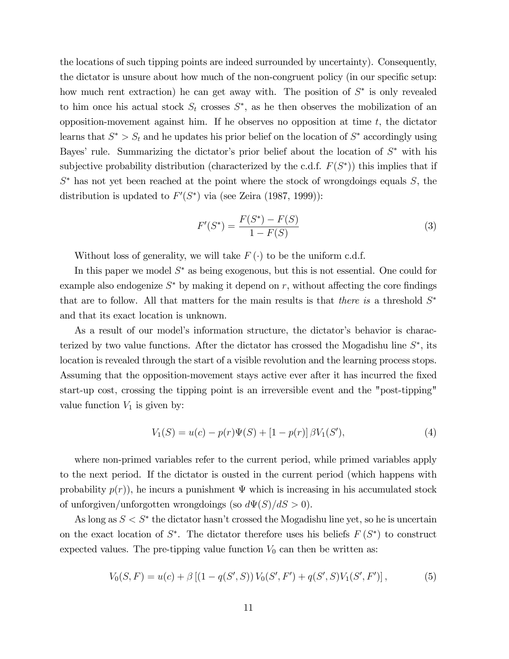the locations of such tipping points are indeed surrounded by uncertainty). Consequently, the dictator is unsure about how much of the non-congruent policy (in our specific setup: how much rent extraction) he can get away with. The position of  $S^*$  is only revealed to him once his actual stock  $S_t$  crosses  $S^*$ , as he then observes the mobilization of an opposition-movement against him. If he observes no opposition at time  $t$ , the dictator learns that  $S^* > S_t$  and he updates his prior belief on the location of  $S^*$  accordingly using Bayes' rule. Summarizing the dictator's prior belief about the location of  $S^*$  with his subjective probability distribution (characterized by the c.d.f.  $F(S^*)$ ) this implies that if  $S^*$  has not yet been reached at the point where the stock of wrongdoings equals  $S$ , the distribution is updated to  $F'(S^*)$  via (see Zeira (1987, 1999)):

$$
F'(S^*) = \frac{F(S^*) - F(S)}{1 - F(S)}
$$
\n(3)

Without loss of generality, we will take  $F(\cdot)$  to be the uniform c.d.f.

In this paper we model  $S^*$  as being exogenous, but this is not essential. One could for example also endogenize  $S^*$  by making it depend on r, without affecting the core findings that are to follow. All that matters for the main results is that *there is* a threshold  $S^*$ and that its exact location is unknown.

As a result of our model's information structure, the dictator's behavior is characterized by two value functions. After the dictator has crossed the Mogadishu line  $S^*$ , its location is revealed through the start of a visible revolution and the learning process stops. Assuming that the opposition-movement stays active ever after it has incurred the fixed start-up cost, crossing the tipping point is an irreversible event and the "post-tipping" value function  $V_1$  is given by:

$$
V_1(S) = u(c) - p(r)\Psi(S) + [1 - p(r)] \beta V_1(S'), \qquad (4)
$$

where non-primed variables refer to the current period, while primed variables apply to the next period. If the dictator is ousted in the current period (which happens with probability  $p(r)$ , he incurs a punishment  $\Psi$  which is increasing in his accumulated stock of unforgiven/unforgotten wrongdoings (so  $d\Psi(S)/dS > 0$ ).

As long as  $S < S^*$  the dictator hasn't crossed the Mogadishu line yet, so he is uncertain on the exact location of  $S^*$ . The dictator therefore uses his beliefs  $F(S^*)$  to construct expected values. The pre-tipping value function  $V_0$  can then be written as:

$$
V_0(S, F) = u(c) + \beta \left[ (1 - q(S', S)) V_0(S', F') + q(S', S) V_1(S', F') \right],
$$
 (5)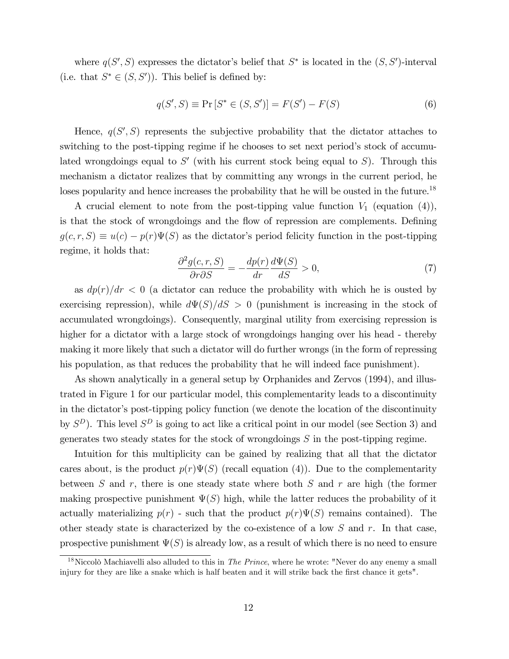where  $q(S', S)$  expresses the dictator's belief that  $S^*$  is located in the  $(S, S')$ -interval (i.e. that  $S^* \in (S, S')$ ). This belief is defined by:

$$
q(S', S) \equiv \Pr\left[S^* \in (S, S')\right] = F(S') - F(S)
$$
\n(6)

Hence,  $q(S', S)$  represents the subjective probability that the dictator attaches to switching to the post-tipping regime if he chooses to set next period's stock of accumulated wrongdoings equal to  $S'$  (with his current stock being equal to  $S$ ). Through this mechanism a dictator realizes that by committing any wrongs in the current period, he loses popularity and hence increases the probability that he will be ousted in the future.<sup>18</sup>

A crucial element to note from the post-tipping value function  $V_1$  (equation (4)), is that the stock of wrongdoings and the flow of repression are complements. Defining  $g(c, r, S) \equiv u(c) - p(r)\Psi(S)$  as the dictator's period felicity function in the post-tipping regime, it holds that:

$$
\frac{\partial^2 g(c, r, S)}{\partial r \partial S} = -\frac{dp(r)}{dr} \frac{d\Psi(S)}{dS} > 0,
$$
\n(7)

as  $dp(r)/dr < 0$  (a dictator can reduce the probability with which he is ousted by exercising repression), while  $d\Psi(S)/dS > 0$  (punishment is increasing in the stock of accumulated wrongdoings). Consequently, marginal utility from exercising repression is higher for a dictator with a large stock of wrongdoings hanging over his head - thereby making it more likely that such a dictator will do further wrongs (in the form of repressing his population, as that reduces the probability that he will indeed face punishment).

As shown analytically in a general setup by Orphanides and Zervos (1994), and illustrated in Figure 1 for our particular model, this complementarity leads to a discontinuity in the dictator's post-tipping policy function (we denote the location of the discontinuity by  $S^D$ ). This level  $S^D$  is going to act like a critical point in our model (see Section 3) and generates two steady states for the stock of wrongdoings  $S$  in the post-tipping regime.

Intuition for this multiplicity can be gained by realizing that all that the dictator cares about, is the product  $p(r)\Psi(S)$  (recall equation (4)). Due to the complementarity between  $S$  and  $r$ , there is one steady state where both  $S$  and  $r$  are high (the former making prospective punishment  $\Psi(S)$  high, while the latter reduces the probability of it actually materializing  $p(r)$  - such that the product  $p(r)\Psi(S)$  remains contained). The other steady state is characterized by the co-existence of a low  $S$  and  $r$ . In that case, prospective punishment  $\Psi(S)$  is already low, as a result of which there is no need to ensure

<sup>&</sup>lt;sup>18</sup>Niccolò Machiavelli also alluded to this in *The Prince*, where he wrote: "Never do any enemy a small injury for they are like a snake which is half beaten and it will strike back the first chance it gets".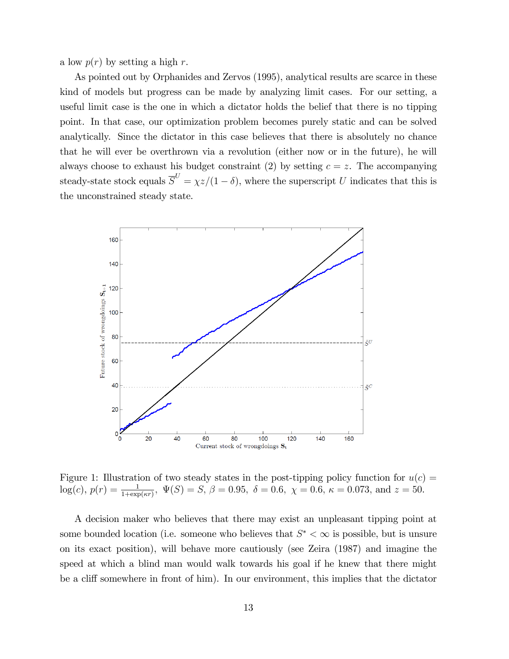a low  $p(r)$  by setting a high r.

As pointed out by Orphanides and Zervos (1995), analytical results are scarce in these kind of models but progress can be made by analyzing limit cases. For our setting, a useful limit case is the one in which a dictator holds the belief that there is no tipping point. In that case, our optimization problem becomes purely static and can be solved analytically. Since the dictator in this case believes that there is absolutely no chance that he will ever be overthrown via a revolution (either now or in the future), he will always choose to exhaust his budget constraint (2) by setting  $c = z$ . The accompanying steady-state stock equals  $\overline{S}^U = \chi z/(1-\delta)$ , where the superscript U indicates that this is the unconstrained steady state.



Figure 1: Illustration of two steady states in the post-tipping policy function for  $u(c)$  =  $log(c), p(r) = \frac{1}{1 + exp(\kappa r)}, \ \Psi(S) = S, \ \beta = 0.95, \ \delta = 0.6, \ \chi = 0.6, \ \kappa = 0.073, \text{ and } z = 50.$ 

A decision maker who believes that there may exist an unpleasant tipping point at some bounded location (i.e. someone who believes that  $S^* < \infty$  is possible, but is unsure on its exact position), will behave more cautiously (see Zeira (1987) and imagine the speed at which a blind man would walk towards his goal if he knew that there might be a cliff somewhere in front of him). In our environment, this implies that the dictator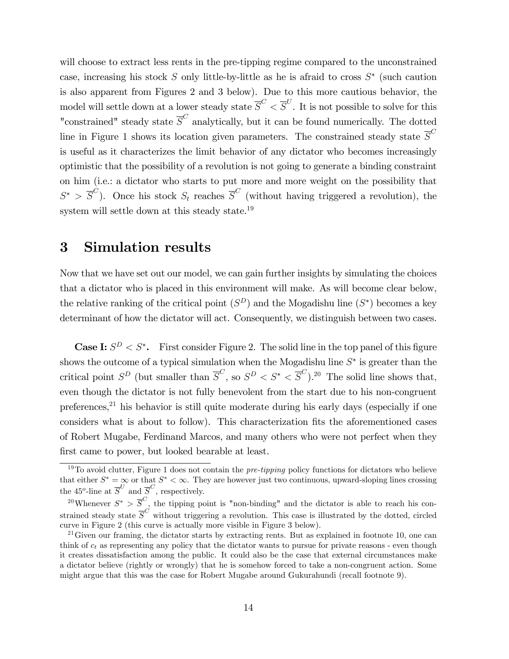will choose to extract less rents in the pre-tipping regime compared to the unconstrained case, increasing his stock  $S$  only little-by-little as he is a fraid to cross  $S^*$  (such caution is also apparent from Figures 2 and 3 below). Due to this more cautious behavior, the model will settle down at a lower steady state  $\overline{S}^C < \overline{S}^U$ . It is not possible to solve for this "constrained" steady state  $\overline{S}^C$  analytically, but it can be found numerically. The dotted line in Figure 1 shows its location given parameters. The constrained steady state  $\overline{S}^C$ is useful as it characterizes the limit behavior of any dictator who becomes increasingly optimistic that the possibility of a revolution is not going to generate a binding constraint on him (i.e.: a dictator who starts to put more and more weight on the possibility that  $S^*$  >  $\overline{S}^C$ ). Once his stock  $S_t$  reaches  $\overline{S}^C$  (without having triggered a revolution), the system will settle down at this steady state.<sup>19</sup>

#### 3 Simulation results

Now that we have set out our model, we can gain further insights by simulating the choices that a dictator who is placed in this environment will make. As will become clear below, the relative ranking of the critical point  $(S^D)$  and the Mogadishu line  $(S^*)$  becomes a key determinant of how the dictator will act. Consequently, we distinguish between two cases.

**Case I:**  $S^D < S^*$ . First consider Figure 2. The solid line in the top panel of this figure shows the outcome of a typical simulation when the Mogadishu line  $S^*$  is greater than the critical point  $S^D$  (but smaller than  $\overline{S}^C$ , so  $S^D < S^* < \overline{S}^C$ ).<sup>20</sup> The solid line shows that, even though the dictator is not fully benevolent from the start due to his non-congruent preferences, $^{21}$  his behavior is still quite moderate during his early days (especially if one considers what is about to follow). This characterization fits the aforementioned cases of Robert Mugabe, Ferdinand Marcos, and many others who were not perfect when they first came to power, but looked bearable at least.

 $19T<sub>0</sub>$  avoid clutter, Figure 1 does not contain the *pre-tipping* policy functions for dictators who believe that either  $S^* = \infty$  or that  $S^* < \infty$ . They are however just two continuous, upward-sloping lines crossing the 45<sup>o</sup>-line at  $\overline{S}^U$  and  $\overline{S}^C$ , respectively.

<sup>&</sup>lt;sup>20</sup>Whenever  $S^* > \overline{S}^C$ , the tipping point is "non-binding" and the dictator is able to reach his constrained steady state  $\overline{S}^C$  without triggering a revolution. This case is illustrated by the dotted, circled curve in Figure 2 (this curve is actually more visible in Figure 3 below).

 $^{21}$ Given our framing, the dictator starts by extracting rents. But as explained in footnote 10, one can think of  $c_t$  as representing any policy that the dictator wants to pursue for private reasons - even though it creates dissatisfaction among the public. It could also be the case that external circumstances make a dictator believe (rightly or wrongly) that he is somehow forced to take a non-congruent action. Some might argue that this was the case for Robert Mugabe around Gukurahundi (recall footnote 9).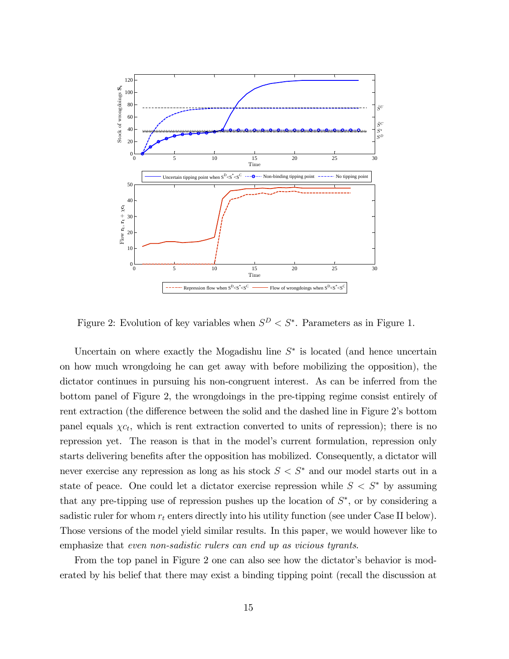

Figure 2: Evolution of key variables when  $S^D < S^*$ . Parameters as in Figure 1.

Uncertain on where exactly the Mogadishu line  $S^*$  is located (and hence uncertain on how much wrongdoing he can get away with before mobilizing the opposition), the dictator continues in pursuing his non-congruent interest. As can be inferred from the bottom panel of Figure 2, the wrongdoings in the pre-tipping regime consist entirely of rent extraction (the difference between the solid and the dashed line in Figure 2's bottom panel equals  $\chi c_t$ , which is rent extraction converted to units of repression); there is no repression yet. The reason is that in the model's current formulation, repression only starts delivering benefits after the opposition has mobilized. Consequently, a dictator will never exercise any repression as long as his stock  $S < S^*$  and our model starts out in a state of peace. One could let a dictator exercise repression while  $S < S^*$  by assuming that any pre-tipping use of repression pushes up the location of  $S^*$ , or by considering a sadistic ruler for whom  $r_t$  enters directly into his utility function (see under Case II below). Those versions of the model yield similar results. In this paper, we would however like to emphasize that even non-sadistic rulers can end up as vicious tyrants.

From the top panel in Figure 2 one can also see how the dictator's behavior is moderated by his belief that there may exist a binding tipping point (recall the discussion at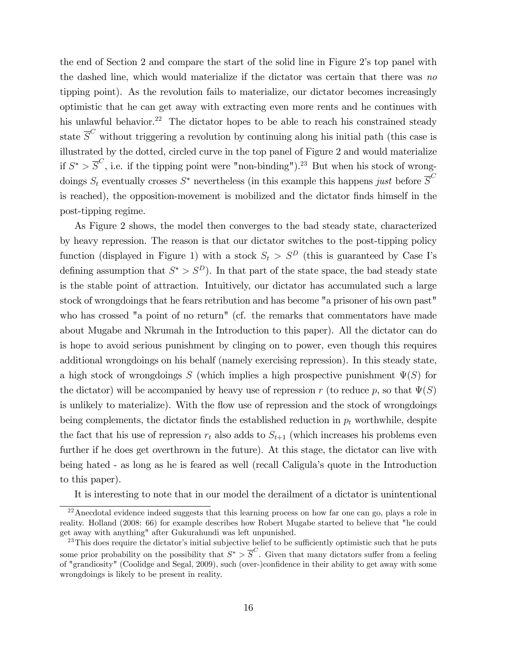the end of Section 2 and compare the start of the solid line in Figure 2's top panel with the dashed line, which would materialize if the dictator was certain that there was no tipping point). As the revolution fails to materialize, our dictator becomes increasingly optimistic that he can get away with extracting even more rents and he continues with his unlawful behavior.<sup>22</sup> The dictator hopes to be able to reach his constrained steady state  $\overline{S}^C$  without triggering a revolution by continuing along his initial path (this case is illustrated by the dotted, circled curve in the top panel of Figure 2 and would materialize if  $S^* > \overline{S}^C$ , i.e. if the tipping point were "non-binding").<sup>23</sup> But when his stock of wrongdoings  $S_t$  eventually crosses  $S^*$  nevertheless (in this example this happens just before  $\overline{S}^C$ is reached), the opposition-movement is mobilized and the dictator finds himself in the post-tipping regime.

As Figure 2 shows, the model then converges to the bad steady state, characterized by heavy repression. The reason is that our dictator switches to the post-tipping policy function (displayed in Figure 1) with a stock  $S_t > S^D$  (this is guaranteed by Case I's defining assumption that  $S^* > S^D$ . In that part of the state space, the bad steady state is the stable point of attraction. Intuitively, our dictator has accumulated such a large stock of wrongdoings that he fears retribution and has become "a prisoner of his own past" who has crossed "a point of no return" (cf. the remarks that commentators have made about Mugabe and Nkrumah in the Introduction to this paper). All the dictator can do is hope to avoid serious punishment by clinging on to power, even though this requires additional wrongdoings on his behalf (namely exercising repression). In this steady state, a high stock of wrongdoings S (which implies a high prospective punishment  $\Psi(S)$  for the dictator) will be accompanied by heavy use of repression r (to reduce p, so that  $\Psi(S)$ is unlikely to materialize). With the flow use of repression and the stock of wrongdoings being complements, the dictator finds the established reduction in  $p_t$  worthwhile, despite the fact that his use of repression  $r_t$  also adds to  $S_{t+1}$  (which increases his problems even further if he does get overthrown in the future). At this stage, the dictator can live with being hated - as long as he is feared as well (recall Caligulaís quote in the Introduction to this paper).

It is interesting to note that in our model the derailment of a dictator is unintentional

<sup>&</sup>lt;sup>22</sup> Anecdotal evidence indeed suggests that this learning process on how far one can go, plays a role in reality. Holland (2008: 66) for example describes how Robert Mugabe started to believe that "he could get away with anything" after Gukurahundi was left unpunished.

 $^{23}$ This does require the dictator's initial subjective belief to be sufficiently optimistic such that he puts some prior probability on the possibility that  $S^* > \overline{S}^C$ . Given that many dictators suffer from a feeling of "grandiosity" (Coolidge and Segal, 2009), such (over-)confidence in their ability to get away with some wrongdoings is likely to be present in reality.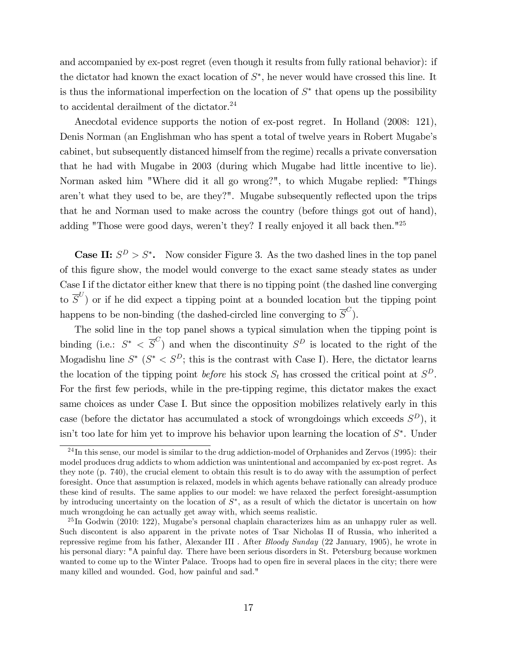and accompanied by ex-post regret (even though it results from fully rational behavior): if the dictator had known the exact location of  $S^*$ , he never would have crossed this line. It is thus the informational imperfection on the location of  $S^*$  that opens up the possibility to accidental derailment of the dictator.<sup>24</sup>

Anecdotal evidence supports the notion of ex-post regret. In Holland (2008: 121), Denis Norman (an Englishman who has spent a total of twelve years in Robert Mugabe's cabinet, but subsequently distanced himself from the regime) recalls a private conversation that he had with Mugabe in 2003 (during which Mugabe had little incentive to lie). Norman asked him "Where did it all go wrong?", to which Mugabe replied: "Things aren't what they used to be, are they?". Mugabe subsequently reflected upon the trips that he and Norman used to make across the country (before things got out of hand), adding "Those were good days, weren't they? I really enjoyed it all back then."<sup>25</sup>

**Case II:**  $S^D > S^*$ . Now consider Figure 3. As the two dashed lines in the top panel of this Ögure show, the model would converge to the exact same steady states as under Case I if the dictator either knew that there is no tipping point (the dashed line converging to  $\overline{S}^{U}$ ) or if he did expect a tipping point at a bounded location but the tipping point happens to be non-binding (the dashed-circled line converging to  $\overline{S}^C$ ).

The solid line in the top panel shows a typical simulation when the tipping point is binding (i.e.:  $S^* < \overline{S}^C$ ) and when the discontinuity  $S^D$  is located to the right of the Mogadishu line  $S^*$  ( $S^* < S^D$ ; this is the contrast with Case I). Here, the dictator learns the location of the tipping point *before* his stock  $S_t$  has crossed the critical point at  $S^D$ . For the first few periods, while in the pre-tipping regime, this dictator makes the exact same choices as under Case I. But since the opposition mobilizes relatively early in this case (before the dictator has accumulated a stock of wrongdoings which exceeds  $S^D$ ), it isn't too late for him yet to improve his behavior upon learning the location of  $S^*$ . Under

 $^{24}$ In this sense, our model is similar to the drug addiction-model of Orphanides and Zervos (1995): their model produces drug addicts to whom addiction was unintentional and accompanied by ex-post regret. As they note (p. 740), the crucial element to obtain this result is to do away with the assumption of perfect foresight. Once that assumption is relaxed, models in which agents behave rationally can already produce these kind of results. The same applies to our model: we have relaxed the perfect foresight-assumption by introducing uncertainty on the location of  $S^*$ , as a result of which the dictator is uncertain on how much wrongdoing he can actually get away with, which seems realistic.

 $^{25}$ In Godwin (2010: 122), Mugabe's personal chaplain characterizes him as an unhappy ruler as well. Such discontent is also apparent in the private notes of Tsar Nicholas II of Russia, who inherited a repressive regime from his father, Alexander III . After Bloody Sunday (22 January, 1905), he wrote in his personal diary: "A painful day. There have been serious disorders in St. Petersburg because workmen wanted to come up to the Winter Palace. Troops had to open fire in several places in the city; there were many killed and wounded. God, how painful and sad."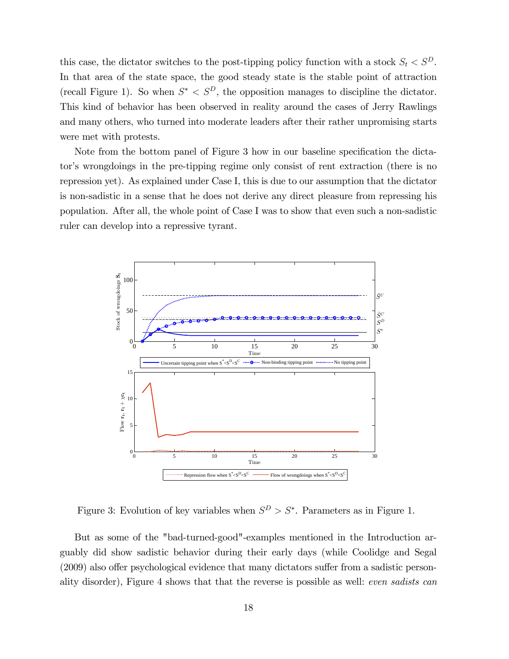this case, the dictator switches to the post-tipping policy function with a stock  $S_t < S^D$ . In that area of the state space, the good steady state is the stable point of attraction (recall Figure 1). So when  $S^* < S^D$ , the opposition manages to discipline the dictator. This kind of behavior has been observed in reality around the cases of Jerry Rawlings and many others, who turned into moderate leaders after their rather unpromising starts were met with protests.

Note from the bottom panel of Figure 3 how in our baseline specification the dictator's wrongdoings in the pre-tipping regime only consist of rent extraction (there is no repression yet). As explained under Case I, this is due to our assumption that the dictator is non-sadistic in a sense that he does not derive any direct pleasure from repressing his population. After all, the whole point of Case I was to show that even such a non-sadistic ruler can develop into a repressive tyrant.



Figure 3: Evolution of key variables when  $S^D > S^*$ . Parameters as in Figure 1.

But as some of the "bad-turned-good"-examples mentioned in the Introduction arguably did show sadistic behavior during their early days (while Coolidge and Segal  $(2009)$  also offer psychological evidence that many dictators suffer from a sadistic personality disorder), Figure 4 shows that that the reverse is possible as well: even sadists can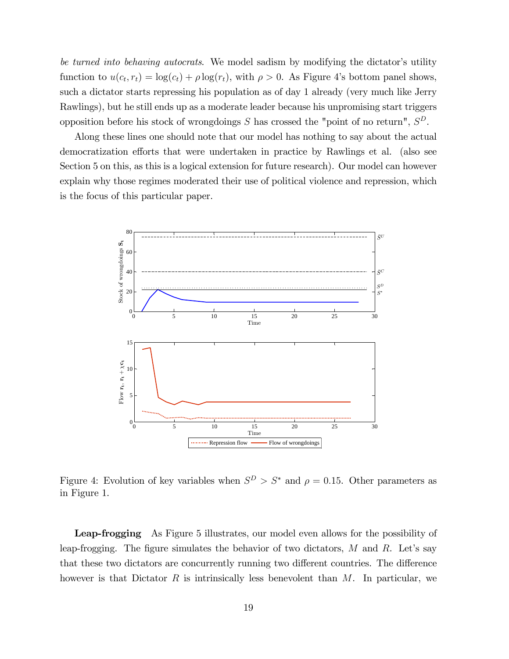be turned into behaving autocrats. We model sadism by modifying the dictator's utility function to  $u(c_t, r_t) = \log(c_t) + \rho \log(r_t)$ , with  $\rho > 0$ . As Figure 4's bottom panel shows, such a dictator starts repressing his population as of day 1 already (very much like Jerry Rawlings), but he still ends up as a moderate leader because his unpromising start triggers opposition before his stock of wrongdoings S has crossed the "point of no return",  $S^D$ .

Along these lines one should note that our model has nothing to say about the actual democratization efforts that were undertaken in practice by Rawlings et al. (also see Section 5 on this, as this is a logical extension for future research). Our model can however explain why those regimes moderated their use of political violence and repression, which is the focus of this particular paper.



Figure 4: Evolution of key variables when  $S^D > S^*$  and  $\rho = 0.15$ . Other parameters as in Figure 1.

Leap-frogging As Figure 5 illustrates, our model even allows for the possibility of leap-frogging. The figure simulates the behavior of two dictators,  $M$  and  $R$ . Let's say that these two dictators are concurrently running two different countries. The difference however is that Dictator  $R$  is intrinsically less benevolent than  $M$ . In particular, we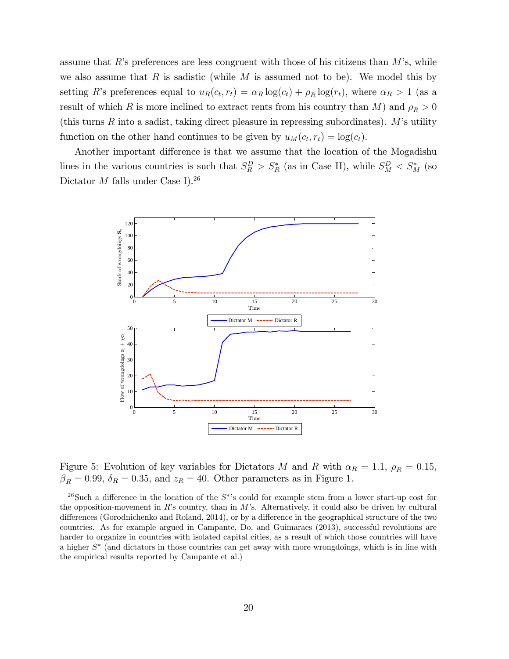assume that  $R$ 's preferences are less congruent with those of his citizens than  $M$ 's, while we also assume that R is sadistic (while M is assumed not to be). We model this by setting R's preferences equal to  $u_R(c_t, r_t) = \alpha_R \log(c_t) + \rho_R \log(r_t)$ , where  $\alpha_R > 1$  (as a result of which R is more inclined to extract rents from his country than M) and  $\rho_R > 0$ (this turns R into a sadist, taking direct pleasure in repressing subordinates).  $M$ 's utility function on the other hand continues to be given by  $u_M(c_t, r_t) = \log(c_t)$ .

Another important difference is that we assume that the location of the Mogadishu lines in the various countries is such that  $S_R^D > S_R^*$  (as in Case II), while  $S_M^D < S_M^*$  (so Dictator  $M$  falls under Case I).<sup>26</sup>



Figure 5: Evolution of key variables for Dictators M and R with  $\alpha_R = 1.1$ ,  $\rho_R = 0.15$ ,  $\beta_R = 0.99, \delta_R = 0.35, \text{ and } z_R = 40.$  Other parameters as in Figure 1.

<sup>&</sup>lt;sup>26</sup>Such a difference in the location of the  $S^*$ 's could for example stem from a lower start-up cost for the opposition-movement in R's country, than in M's. Alternatively, it could also be driven by cultural differences (Gorodnichenko and Roland, 2014), or by a difference in the geographical structure of the two countries. As for example argued in Campante, Do, and Guimaraes (2013), successful revolutions are harder to organize in countries with isolated capital cities, as a result of which those countries will have a higher S (and dictators in those countries can get away with more wrongdoings, which is in line with the empirical results reported by Campante et al.)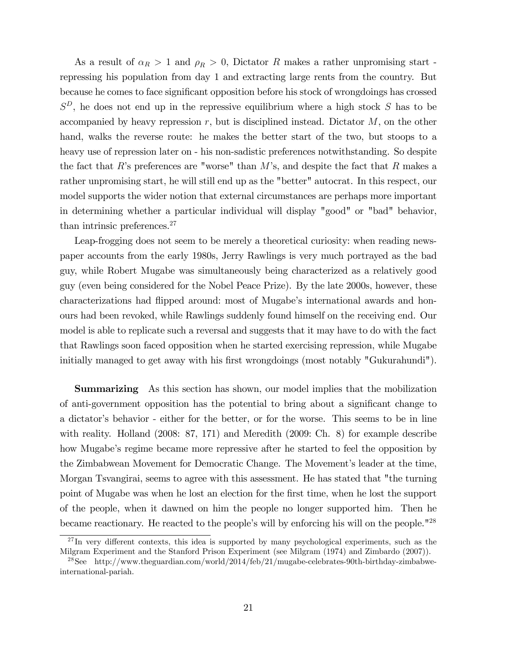As a result of  $\alpha_R > 1$  and  $\rho_R > 0$ , Dictator R makes a rather unpromising start repressing his population from day 1 and extracting large rents from the country. But because he comes to face significant opposition before his stock of wrongdoings has crossed  $S^D$ , he does not end up in the repressive equilibrium where a high stock S has to be accompanied by heavy repression  $r$ , but is disciplined instead. Dictator  $M$ , on the other hand, walks the reverse route: he makes the better start of the two, but stoops to a heavy use of repression later on - his non-sadistic preferences notwithstanding. So despite the fact that R's preferences are "worse" than  $M$ 's, and despite the fact that R makes a rather unpromising start, he will still end up as the "better" autocrat. In this respect, our model supports the wider notion that external circumstances are perhaps more important in determining whether a particular individual will display "good" or "bad" behavior, than intrinsic preferences.<sup>27</sup>

Leap-frogging does not seem to be merely a theoretical curiosity: when reading newspaper accounts from the early 1980s, Jerry Rawlings is very much portrayed as the bad guy, while Robert Mugabe was simultaneously being characterized as a relatively good guy (even being considered for the Nobel Peace Prize). By the late 2000s, however, these characterizations had flipped around: most of Mugabe's international awards and honours had been revoked, while Rawlings suddenly found himself on the receiving end. Our model is able to replicate such a reversal and suggests that it may have to do with the fact that Rawlings soon faced opposition when he started exercising repression, while Mugabe initially managed to get away with his first wrongdoings (most notably "Gukurahundi").

Summarizing As this section has shown, our model implies that the mobilization of anti-government opposition has the potential to bring about a significant change to a dictator's behavior - either for the better, or for the worse. This seems to be in line with reality. Holland (2008: 87, 171) and Meredith (2009: Ch. 8) for example describe how Mugabe's regime became more repressive after he started to feel the opposition by the Zimbabwean Movement for Democratic Change. The Movement's leader at the time, Morgan Tsvangirai, seems to agree with this assessment. He has stated that "the turning point of Mugabe was when he lost an election for the Örst time, when he lost the support of the people, when it dawned on him the people no longer supported him. Then he became reactionary. He reacted to the people's will by enforcing his will on the people."<sup>28</sup>

 $^{27}$ In very different contexts, this idea is supported by many psychological experiments, such as the Milgram Experiment and the Stanford Prison Experiment (see Milgram (1974) and Zimbardo (2007)).

<sup>28</sup>See http://www.theguardian.com/world/2014/feb/21/mugabe-celebrates-90th-birthday-zimbabweinternational-pariah.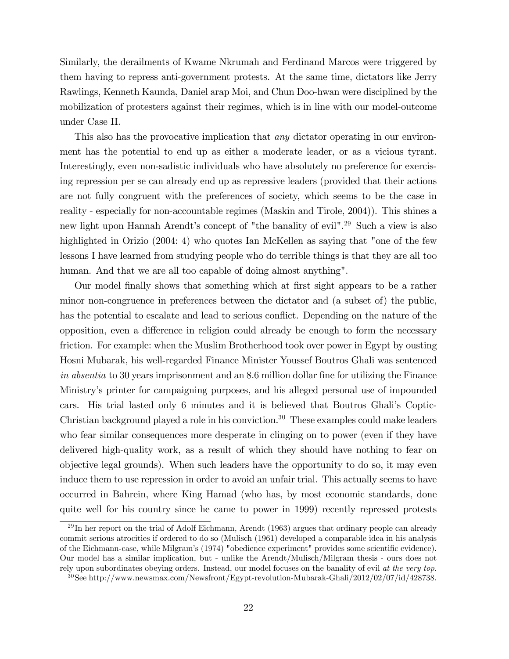Similarly, the derailments of Kwame Nkrumah and Ferdinand Marcos were triggered by them having to repress anti-government protests. At the same time, dictators like Jerry Rawlings, Kenneth Kaunda, Daniel arap Moi, and Chun Doo-hwan were disciplined by the mobilization of protesters against their regimes, which is in line with our model-outcome under Case II.

This also has the provocative implication that *any* dictator operating in our environment has the potential to end up as either a moderate leader, or as a vicious tyrant. Interestingly, even non-sadistic individuals who have absolutely no preference for exercising repression per se can already end up as repressive leaders (provided that their actions are not fully congruent with the preferences of society, which seems to be the case in reality - especially for non-accountable regimes (Maskin and Tirole, 2004)). This shines a new light upon Hannah Arendt's concept of "the banality of evil".<sup>29</sup> Such a view is also highlighted in Orizio (2004: 4) who quotes Ian McKellen as saying that "one of the few lessons I have learned from studying people who do terrible things is that they are all too human. And that we are all too capable of doing almost anything".

Our model finally shows that something which at first sight appears to be a rather minor non-congruence in preferences between the dictator and (a subset of) the public, has the potential to escalate and lead to serious conflict. Depending on the nature of the opposition, even a difference in religion could already be enough to form the necessary friction. For example: when the Muslim Brotherhood took over power in Egypt by ousting Hosni Mubarak, his well-regarded Finance Minister Youssef Boutros Ghali was sentenced in absentia to 30 years imprisonment and an 8.6 million dollar fine for utilizing the Finance Ministryís printer for campaigning purposes, and his alleged personal use of impounded cars. His trial lasted only 6 minutes and it is believed that Boutros Ghaliís Coptic-Christian background played a role in his conviction.<sup>30</sup> These examples could make leaders who fear similar consequences more desperate in clinging on to power (even if they have delivered high-quality work, as a result of which they should have nothing to fear on objective legal grounds). When such leaders have the opportunity to do so, it may even induce them to use repression in order to avoid an unfair trial. This actually seems to have occurred in Bahrein, where King Hamad (who has, by most economic standards, done quite well for his country since he came to power in 1999) recently repressed protests

 $^{29}$ In her report on the trial of Adolf Eichmann, Arendt (1963) argues that ordinary people can already commit serious atrocities if ordered to do so (Mulisch (1961) developed a comparable idea in his analysis of the Eichmann-case, while Milgram's (1974) "obedience experiment" provides some scientific evidence). Our model has a similar implication, but - unlike the Arendt/Mulisch/Milgram thesis - ours does not rely upon subordinates obeying orders. Instead, our model focuses on the banality of evil at the very top.

<sup>30</sup>See http://www.newsmax.com/Newsfront/Egypt-revolution-Mubarak-Ghali/2012/02/07/id/428738.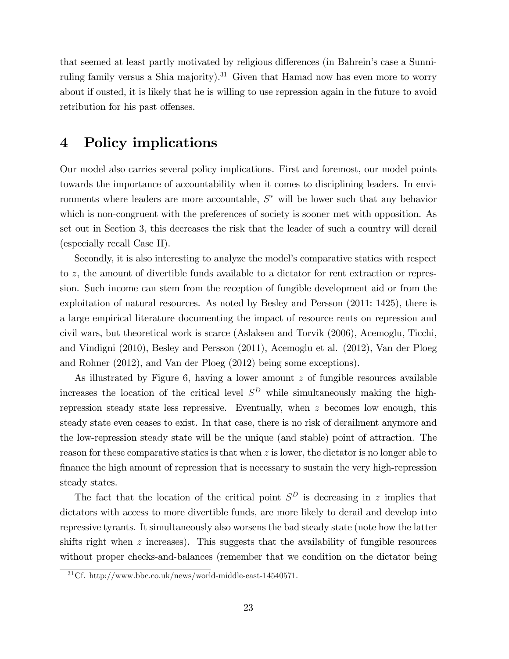that seemed at least partly motivated by religious differences (in Bahrein's case a Sunniruling family versus a Shia majority).<sup>31</sup> Given that Hamad now has even more to worry about if ousted, it is likely that he is willing to use repression again in the future to avoid retribution for his past offenses.

### 4 Policy implications

Our model also carries several policy implications. First and foremost, our model points towards the importance of accountability when it comes to disciplining leaders. In environments where leaders are more accountable,  $S^*$  will be lower such that any behavior which is non-congruent with the preferences of society is sooner met with opposition. As set out in Section 3, this decreases the risk that the leader of such a country will derail (especially recall Case II).

Secondly, it is also interesting to analyze the model's comparative statics with respect to z, the amount of divertible funds available to a dictator for rent extraction or repression. Such income can stem from the reception of fungible development aid or from the exploitation of natural resources. As noted by Besley and Persson (2011: 1425), there is a large empirical literature documenting the impact of resource rents on repression and civil wars, but theoretical work is scarce (Aslaksen and Torvik (2006), Acemoglu, Ticchi, and Vindigni (2010), Besley and Persson (2011), Acemoglu et al. (2012), Van der Ploeg and Rohner (2012), and Van der Ploeg (2012) being some exceptions).

As illustrated by Figure 6, having a lower amount z of fungible resources available increases the location of the critical level  $S^D$  while simultaneously making the highrepression steady state less repressive. Eventually, when z becomes low enough, this steady state even ceases to exist. In that case, there is no risk of derailment anymore and the low-repression steady state will be the unique (and stable) point of attraction. The reason for these comparative statics is that when  $z$  is lower, the dictator is no longer able to finance the high amount of repression that is necessary to sustain the very high-repression steady states.

The fact that the location of the critical point  $S^D$  is decreasing in z implies that dictators with access to more divertible funds, are more likely to derail and develop into repressive tyrants. It simultaneously also worsens the bad steady state (note how the latter shifts right when  $z$  increases). This suggests that the availability of fungible resources without proper checks-and-balances (remember that we condition on the dictator being

 $31Cf.$  http://www.bbc.co.uk/news/world-middle-east-14540571.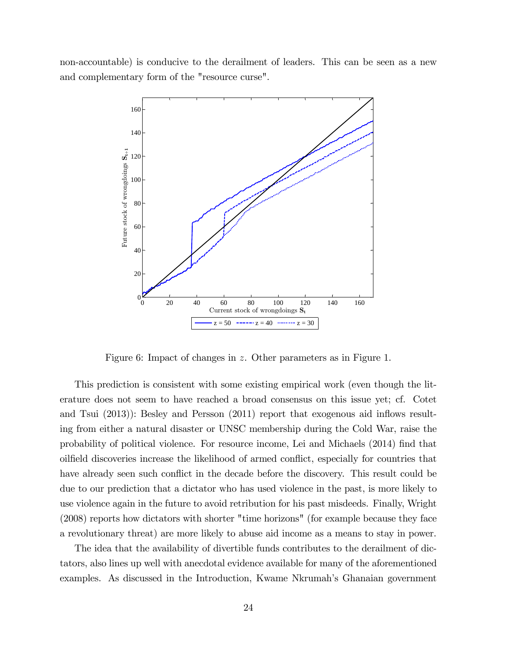non-accountable) is conducive to the derailment of leaders. This can be seen as a new and complementary form of the "resource curse".



Figure 6: Impact of changes in z. Other parameters as in Figure 1.

This prediction is consistent with some existing empirical work (even though the literature does not seem to have reached a broad consensus on this issue yet; cf. Cotet and Tsui  $(2013)$ : Besley and Persson  $(2011)$  report that exogenous aid inflows resulting from either a natural disaster or UNSC membership during the Cold War, raise the probability of political violence. For resource income, Lei and Michaels (2014) find that oilfield discoveries increase the likelihood of armed conflict, especially for countries that have already seen such conflict in the decade before the discovery. This result could be due to our prediction that a dictator who has used violence in the past, is more likely to use violence again in the future to avoid retribution for his past misdeeds. Finally, Wright (2008) reports how dictators with shorter "time horizons" (for example because they face a revolutionary threat) are more likely to abuse aid income as a means to stay in power.

The idea that the availability of divertible funds contributes to the derailment of dictators, also lines up well with anecdotal evidence available for many of the aforementioned examples. As discussed in the Introduction, Kwame Nkrumahís Ghanaian government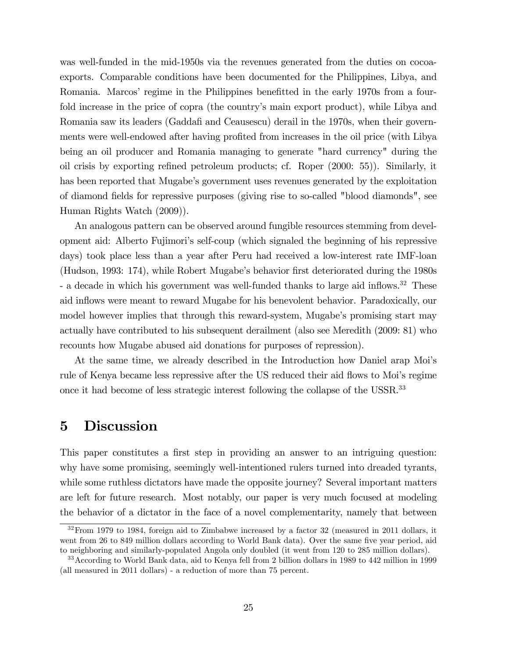was well-funded in the mid-1950s via the revenues generated from the duties on cocoaexports. Comparable conditions have been documented for the Philippines, Libya, and Romania. Marcos' regime in the Philippines benefitted in the early 1970s from a fourfold increase in the price of copra (the countryís main export product), while Libya and Romania saw its leaders (Gaddafi and Ceausescu) derail in the 1970s, when their governments were well-endowed after having profited from increases in the oil price (with Libya being an oil producer and Romania managing to generate "hard currency" during the oil crisis by exporting refined petroleum products; cf. Roper (2000: 55)). Similarly, it has been reported that Mugabe's government uses revenues generated by the exploitation of diamond fields for repressive purposes (giving rise to so-called "blood diamonds", see Human Rights Watch (2009)).

An analogous pattern can be observed around fungible resources stemming from development aid: Alberto Fujimoriís self-coup (which signaled the beginning of his repressive days) took place less than a year after Peru had received a low-interest rate IMF-loan (Hudson, 1993: 174), while Robert Mugabe's behavior first deteriorated during the 1980s - a decade in which his government was well-funded thanks to large aid inflows.<sup>32</sup> These aid inflows were meant to reward Mugabe for his benevolent behavior. Paradoxically, our model however implies that through this reward-system, Mugabe's promising start may actually have contributed to his subsequent derailment (also see Meredith (2009: 81) who recounts how Mugabe abused aid donations for purposes of repression).

At the same time, we already described in the Introduction how Daniel arap Moiís rule of Kenya became less repressive after the US reduced their aid flows to Moi's regime once it had become of less strategic interest following the collapse of the USSR.<sup>33</sup>

#### 5 Discussion

This paper constitutes a first step in providing an answer to an intriguing question: why have some promising, seemingly well-intentioned rulers turned into dreaded tyrants, while some ruthless dictators have made the opposite journey? Several important matters are left for future research. Most notably, our paper is very much focused at modeling the behavior of a dictator in the face of a novel complementarity, namely that between

 $32$  From 1979 to 1984, foreign aid to Zimbabwe increased by a factor 32 (measured in 2011 dollars, it went from 26 to 849 million dollars according to World Bank data). Over the same five year period, aid to neighboring and similarly-populated Angola only doubled (it went from 120 to 285 million dollars).

<sup>33</sup>According to World Bank data, aid to Kenya fell from 2 billion dollars in 1989 to 442 million in 1999 (all measured in 2011 dollars) - a reduction of more than 75 percent.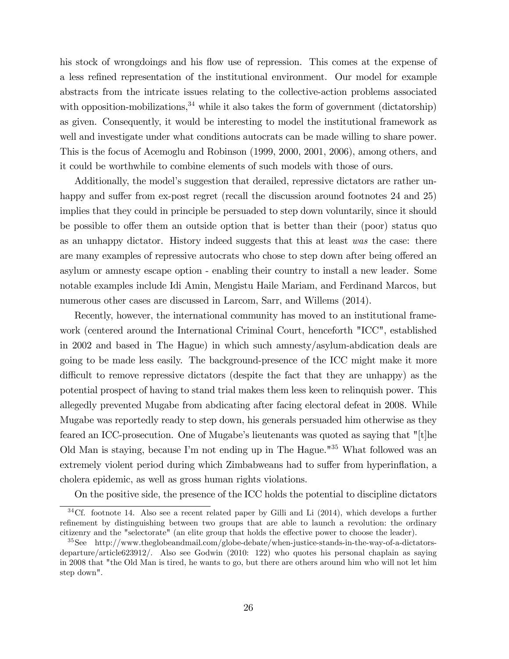his stock of wrongdoings and his flow use of repression. This comes at the expense of a less reÖned representation of the institutional environment. Our model for example abstracts from the intricate issues relating to the collective-action problems associated with opposition-mobilizations,  $34$  while it also takes the form of government (dictatorship) as given. Consequently, it would be interesting to model the institutional framework as well and investigate under what conditions autocrats can be made willing to share power. This is the focus of Acemoglu and Robinson (1999, 2000, 2001, 2006), among others, and it could be worthwhile to combine elements of such models with those of ours.

Additionally, the model's suggestion that derailed, repressive dictators are rather unhappy and suffer from ex-post regret (recall the discussion around footnotes 24 and 25) implies that they could in principle be persuaded to step down voluntarily, since it should be possible to offer them an outside option that is better than their (poor) status quo as an unhappy dictator. History indeed suggests that this at least was the case: there are many examples of repressive autocrats who chose to step down after being offered an asylum or amnesty escape option - enabling their country to install a new leader. Some notable examples include Idi Amin, Mengistu Haile Mariam, and Ferdinand Marcos, but numerous other cases are discussed in Larcom, Sarr, and Willems (2014).

Recently, however, the international community has moved to an institutional framework (centered around the International Criminal Court, henceforth "ICC", established in 2002 and based in The Hague) in which such amnesty/asylum-abdication deals are going to be made less easily. The background-presence of the ICC might make it more difficult to remove repressive dictators (despite the fact that they are unhappy) as the potential prospect of having to stand trial makes them less keen to relinquish power. This allegedly prevented Mugabe from abdicating after facing electoral defeat in 2008. While Mugabe was reportedly ready to step down, his generals persuaded him otherwise as they feared an ICC-prosecution. One of Mugabe's lieutenants was quoted as saying that "[t]he Old Man is staying, because Iím not ending up in The Hague."<sup>35</sup> What followed was an extremely violent period during which Zimbabweans had to suffer from hyperinflation, a cholera epidemic, as well as gross human rights violations.

On the positive side, the presence of the ICC holds the potential to discipline dictators

<sup>&</sup>lt;sup>34</sup>Cf. footnote 14. Also see a recent related paper by Gilli and Li (2014), which develops a further refinement by distinguishing between two groups that are able to launch a revolution: the ordinary citizenry and the "selectorate" (an elite group that holds the effective power to choose the leader).

<sup>35</sup>See http://www.theglobeandmail.com/globe-debate/when-justice-stands-in-the-way-of-a-dictatorsdeparture/article623912/. Also see Godwin (2010: 122) who quotes his personal chaplain as saying in 2008 that "the Old Man is tired, he wants to go, but there are others around him who will not let him step down".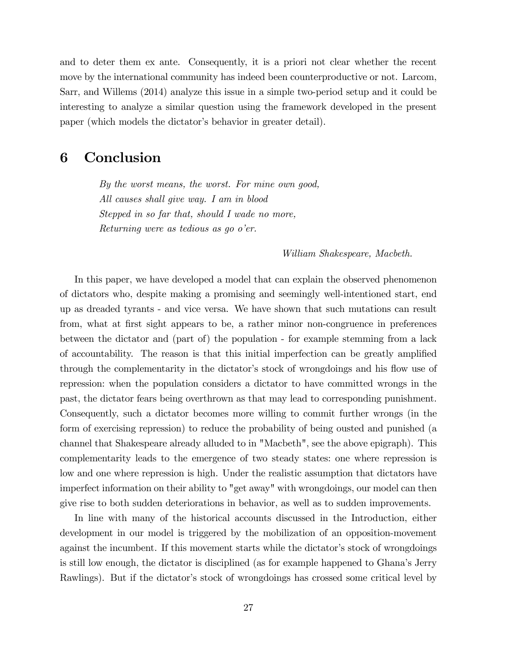and to deter them ex ante. Consequently, it is a priori not clear whether the recent move by the international community has indeed been counterproductive or not. Larcom, Sarr, and Willems (2014) analyze this issue in a simple two-period setup and it could be interesting to analyze a similar question using the framework developed in the present paper (which models the dictator's behavior in greater detail).

### 6 Conclusion

By the worst means, the worst. For mine own good, All causes shall give way. I am in blood Stepped in so far that, should I wade no more, Returning were as tedious as go  $o<sup>'</sup>er$ .

#### William Shakespeare, Macbeth.

In this paper, we have developed a model that can explain the observed phenomenon of dictators who, despite making a promising and seemingly well-intentioned start, end up as dreaded tyrants - and vice versa. We have shown that such mutations can result from, what at first sight appears to be, a rather minor non-congruence in preferences between the dictator and (part of) the population - for example stemming from a lack of accountability. The reason is that this initial imperfection can be greatly amplified through the complementarity in the dictator's stock of wrongdoings and his flow use of repression: when the population considers a dictator to have committed wrongs in the past, the dictator fears being overthrown as that may lead to corresponding punishment. Consequently, such a dictator becomes more willing to commit further wrongs (in the form of exercising repression) to reduce the probability of being ousted and punished (a channel that Shakespeare already alluded to in "Macbeth", see the above epigraph). This complementarity leads to the emergence of two steady states: one where repression is low and one where repression is high. Under the realistic assumption that dictators have imperfect information on their ability to "get away" with wrongdoings, our model can then give rise to both sudden deteriorations in behavior, as well as to sudden improvements.

In line with many of the historical accounts discussed in the Introduction, either development in our model is triggered by the mobilization of an opposition-movement against the incumbent. If this movement starts while the dictator's stock of wrongdoings is still low enough, the dictator is disciplined (as for example happened to Ghanaís Jerry Rawlings). But if the dictator's stock of wrongdoings has crossed some critical level by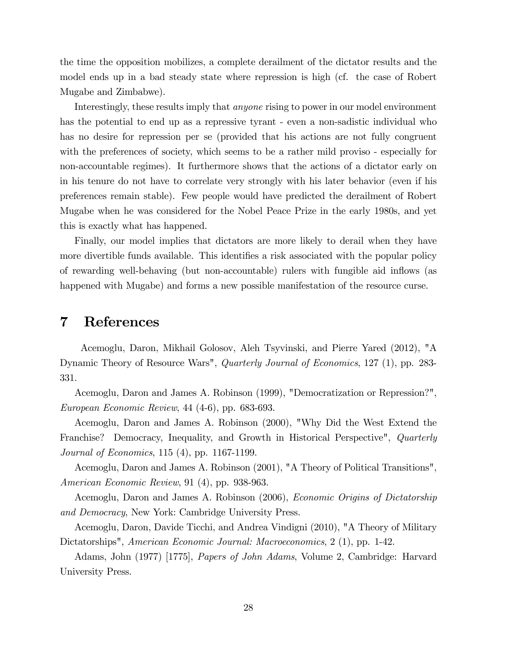the time the opposition mobilizes, a complete derailment of the dictator results and the model ends up in a bad steady state where repression is high (cf. the case of Robert Mugabe and Zimbabwe).

Interestingly, these results imply that *anyone* rising to power in our model environment has the potential to end up as a repressive tyrant - even a non-sadistic individual who has no desire for repression per se (provided that his actions are not fully congruent with the preferences of society, which seems to be a rather mild proviso - especially for non-accountable regimes). It furthermore shows that the actions of a dictator early on in his tenure do not have to correlate very strongly with his later behavior (even if his preferences remain stable). Few people would have predicted the derailment of Robert Mugabe when he was considered for the Nobel Peace Prize in the early 1980s, and yet this is exactly what has happened.

Finally, our model implies that dictators are more likely to derail when they have more divertible funds available. This identifies a risk associated with the popular policy of rewarding well-behaving (but non-accountable) rulers with fungible aid ináows (as happened with Mugabe) and forms a new possible manifestation of the resource curse.

#### 7 References

Acemoglu, Daron, Mikhail Golosov, Aleh Tsyvinski, and Pierre Yared (2012), "A Dynamic Theory of Resource Wars", Quarterly Journal of Economics, 127 (1), pp. 283- 331.

Acemoglu, Daron and James A. Robinson (1999), "Democratization or Repression?", European Economic Review, 44 (4-6), pp. 683-693.

Acemoglu, Daron and James A. Robinson (2000), "Why Did the West Extend the Franchise? Democracy, Inequality, and Growth in Historical Perspective", *Quarterly* Journal of Economics, 115 (4), pp. 1167-1199.

Acemoglu, Daron and James A. Robinson (2001), "A Theory of Political Transitions", American Economic Review, 91 (4), pp. 938-963.

Acemoglu, Daron and James A. Robinson (2006), Economic Origins of Dictatorship and Democracy, New York: Cambridge University Press.

Acemoglu, Daron, Davide Ticchi, and Andrea Vindigni (2010), "A Theory of Military Dictatorships", American Economic Journal: Macroeconomics, 2 (1), pp. 1-42.

Adams, John (1977) [1775], Papers of John Adams, Volume 2, Cambridge: Harvard University Press.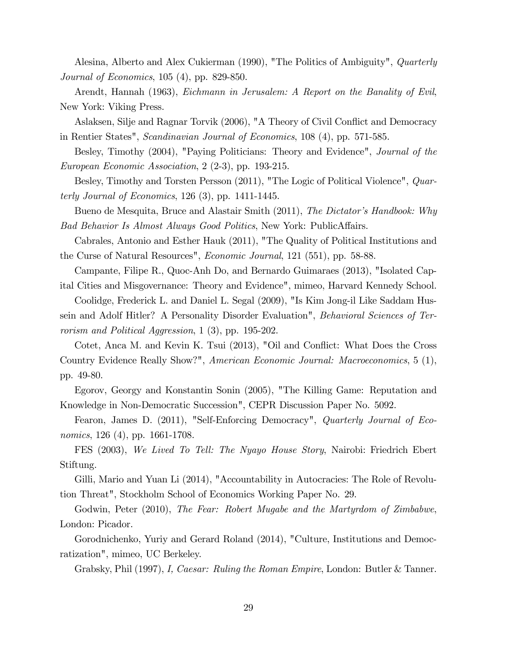Alesina, Alberto and Alex Cukierman (1990), "The Politics of Ambiguity", *Quarterly* Journal of Economics, 105 (4), pp. 829-850.

Arendt, Hannah (1963), Eichmann in Jerusalem: A Report on the Banality of Evil, New York: Viking Press.

Aslaksen, Silje and Ragnar Torvik (2006), "A Theory of Civil Conflict and Democracy in Rentier States", Scandinavian Journal of Economics, 108 (4), pp. 571-585.

Besley, Timothy (2004), "Paying Politicians: Theory and Evidence", *Journal of the* European Economic Association, 2 (2-3), pp. 193-215.

Besley, Timothy and Torsten Persson (2011), "The Logic of Political Violence", *Quar*terly Journal of Economics,  $126(3)$ , pp.  $1411-1445$ .

Bueno de Mesquita, Bruce and Alastair Smith (2011), The Dictator's Handbook: Why Bad Behavior Is Almost Always Good Politics, New York: PublicAffairs.

Cabrales, Antonio and Esther Hauk (2011), "The Quality of Political Institutions and the Curse of Natural Resources", Economic Journal, 121 (551), pp. 58-88.

Campante, Filipe R., Quoc-Anh Do, and Bernardo Guimaraes (2013), "Isolated Capital Cities and Misgovernance: Theory and Evidence", mimeo, Harvard Kennedy School.

Coolidge, Frederick L. and Daniel L. Segal (2009), "Is Kim Jong-il Like Saddam Hussein and Adolf Hitler? A Personality Disorder Evaluation", Behavioral Sciences of Terrorism and Political Aggression, 1 (3), pp. 195-202.

Cotet, Anca M. and Kevin K. Tsui (2013), "Oil and Conflict: What Does the Cross Country Evidence Really Show?", American Economic Journal: Macroeconomics, 5 (1), pp. 49-80.

Egorov, Georgy and Konstantin Sonin (2005), "The Killing Game: Reputation and Knowledge in Non-Democratic Succession", CEPR Discussion Paper No. 5092.

Fearon, James D. (2011), "Self-Enforcing Democracy", *Quarterly Journal of Eco*nomics, 126 (4), pp. 1661-1708.

FES (2003), We Lived To Tell: The Nyayo House Story, Nairobi: Friedrich Ebert Stiftung.

Gilli, Mario and Yuan Li (2014), "Accountability in Autocracies: The Role of Revolution Threat", Stockholm School of Economics Working Paper No. 29.

Godwin, Peter (2010), The Fear: Robert Mugabe and the Martyrdom of Zimbabwe, London: Picador.

Gorodnichenko, Yuriy and Gerard Roland (2014), "Culture, Institutions and Democratization", mimeo, UC Berkeley.

Grabsky, Phil (1997), I, Caesar: Ruling the Roman Empire, London: Butler & Tanner.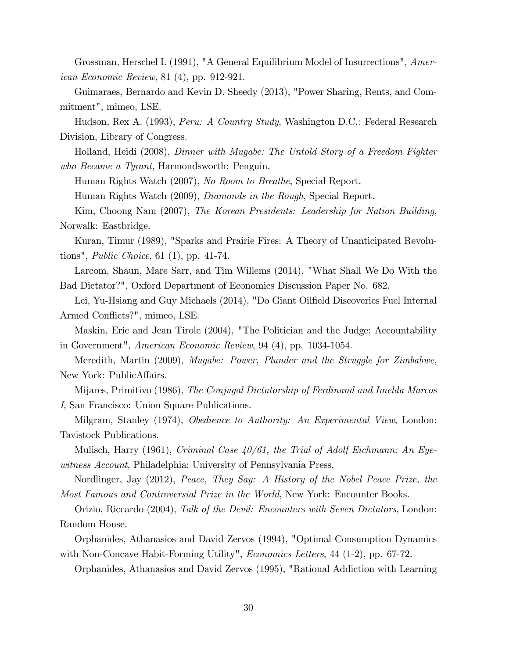Grossman, Herschel I. (1991), "A General Equilibrium Model of Insurrections", American Economic Review, 81 (4), pp. 912-921.

Guimaraes, Bernardo and Kevin D. Sheedy (2013), "Power Sharing, Rents, and Commitment", mimeo, LSE.

Hudson, Rex A. (1993), Peru: A Country Study, Washington D.C.: Federal Research Division, Library of Congress.

Holland, Heidi (2008), Dinner with Mugabe: The Untold Story of a Freedom Fighter who Became a Tyrant, Harmondsworth: Penguin.

Human Rights Watch (2007), No Room to Breathe, Special Report.

Human Rights Watch (2009), *Diamonds in the Rough*, Special Report.

Kim, Choong Nam (2007), The Korean Presidents: Leadership for Nation Building, Norwalk: Eastbridge.

Kuran, Timur (1989), "Sparks and Prairie Fires: A Theory of Unanticipated Revolutions", Public Choice, 61 (1), pp. 41-74.

Larcom, Shaun, Mare Sarr, and Tim Willems (2014), "What Shall We Do With the Bad Dictator?", Oxford Department of Economics Discussion Paper No. 682.

Lei, Yu-Hsiang and Guy Michaels (2014), "Do Giant Oilfield Discoveries Fuel Internal Armed Conflicts?", mimeo, LSE.

Maskin, Eric and Jean Tirole (2004), "The Politician and the Judge: Accountability in Government", American Economic Review, 94 (4), pp. 1034-1054.

Meredith, Martin (2009), Mugabe: Power, Plunder and the Struggle for Zimbabwe, New York: PublicAffairs.

Mijares, Primitivo (1986), The Conjugal Dictatorship of Ferdinand and Imelda Marcos I, San Francisco: Union Square Publications.

Milgram, Stanley (1974), *Obedience to Authority: An Experimental View*, London: Tavistock Publications.

Mulisch, Harry (1961), Criminal Case  $40/61$ , the Trial of Adolf Eichmann: An Eyewitness Account, Philadelphia: University of Pennsylvania Press.

Nordlinger, Jay (2012), Peace, They Say: A History of the Nobel Peace Prize, the Most Famous and Controversial Prize in the World, New York: Encounter Books.

Orizio, Riccardo (2004), Talk of the Devil: Encounters with Seven Dictators, London: Random House.

Orphanides, Athanasios and David Zervos (1994), "Optimal Consumption Dynamics with Non-Concave Habit-Forming Utility", *Economics Letters*, 44 (1-2), pp. 67-72.

Orphanides, Athanasios and David Zervos (1995), "Rational Addiction with Learning